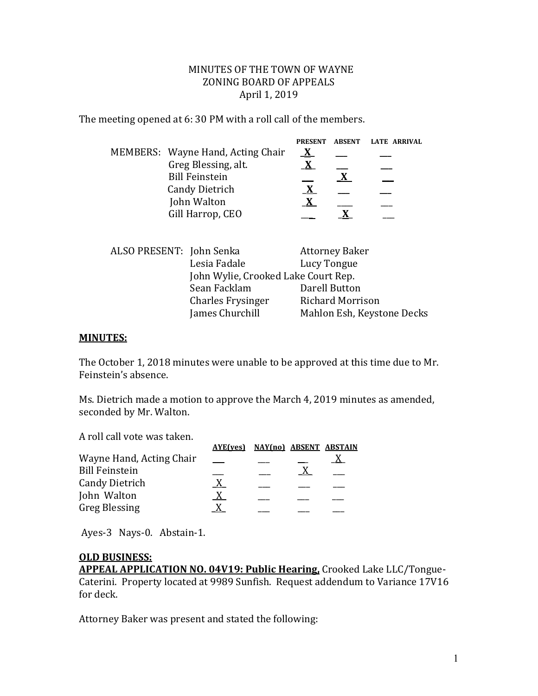### MINUTES OF THE TOWN OF WAYNE ZONING BOARD OF APPEALS April 1, 2019

The meeting opened at 6: 30 PM with a roll call of the members.

|                                   | <b>PRESENT</b> | <b>ABSENT</b> | LATE ARRIVAL |
|-----------------------------------|----------------|---------------|--------------|
| MEMBERS: Wayne Hand, Acting Chair |                |               |              |
| Greg Blessing, alt.               |                |               |              |
| <b>Bill Feinstein</b>             |                |               |              |
| <b>Candy Dietrich</b>             |                |               |              |
| John Walton                       |                |               |              |
| Gill Harrop, CEO                  |                |               |              |
|                                   |                |               |              |

| ALSO PRESENT: John Senka |                                     | <b>Attorney Baker</b>      |  |
|--------------------------|-------------------------------------|----------------------------|--|
|                          | Lesia Fadale                        | Lucy Tongue                |  |
|                          | John Wylie, Crooked Lake Court Rep. |                            |  |
|                          | Sean Facklam                        | Darell Button              |  |
|                          | <b>Charles Frysinger</b>            | <b>Richard Morrison</b>    |  |
|                          | James Churchill                     | Mahlon Esh, Keystone Decks |  |

#### **MINUTES:**

The October 1, 2018 minutes were unable to be approved at this time due to Mr. Feinstein's absence.

Ms. Dietrich made a motion to approve the March 4, 2019 minutes as amended, seconded by Mr. Walton.

A roll call vote was taken.

|  | <b>AYE(ves) NAY(no) ABSENT ABSTAIN</b> |
|--|----------------------------------------|

Ayes-3 Nays-0. Abstain-1.

#### **OLD BUSINESS:**

**APPEAL APPLICATION NO. 04V19: Public Hearing,** Crooked Lake LLC/Tongue-Caterini. Property located at 9989 Sunfish. Request addendum to Variance 17V16 for deck.

Attorney Baker was present and stated the following: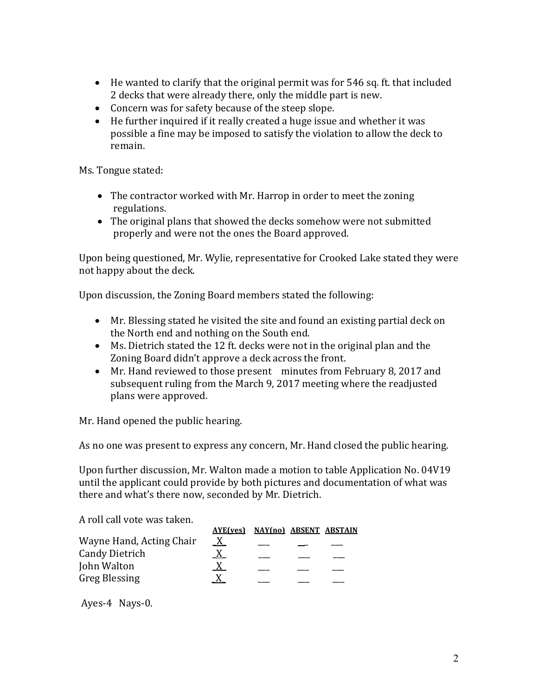- He wanted to clarify that the original permit was for 546 sq. ft. that included 2 decks that were already there, only the middle part is new.
- Concern was for safety because of the steep slope.
- He further inquired if it really created a huge issue and whether it was possible a fine may be imposed to satisfy the violation to allow the deck to remain.

Ms. Tongue stated:

- The contractor worked with Mr. Harrop in order to meet the zoning regulations.
- The original plans that showed the decks somehow were not submitted properly and were not the ones the Board approved.

Upon being questioned, Mr. Wylie, representative for Crooked Lake stated they were not happy about the deck.

Upon discussion, the Zoning Board members stated the following:

- Mr. Blessing stated he visited the site and found an existing partial deck on the North end and nothing on the South end.
- Ms. Dietrich stated the 12 ft. decks were not in the original plan and the Zoning Board didn't approve a deck across the front.
- Mr. Hand reviewed to those present minutes from February 8, 2017 and subsequent ruling from the March 9, 2017 meeting where the readjusted plans were approved.

Mr. Hand opened the public hearing.

As no one was present to express any concern, Mr. Hand closed the public hearing.

Upon further discussion, Mr. Walton made a motion to table Application No. 04V19 until the applicant could provide by both pictures and documentation of what was there and what's there now, seconded by Mr. Dietrich.

A roll call vote was taken.

|                          | AYE(ves) NAY(no) ABSENT ABSTAIN |  |  |
|--------------------------|---------------------------------|--|--|
| Wayne Hand, Acting Chair | X                               |  |  |
| <b>Candy Dietrich</b>    |                                 |  |  |
| John Walton              |                                 |  |  |
| <b>Greg Blessing</b>     |                                 |  |  |

Ayes-4 Nays-0.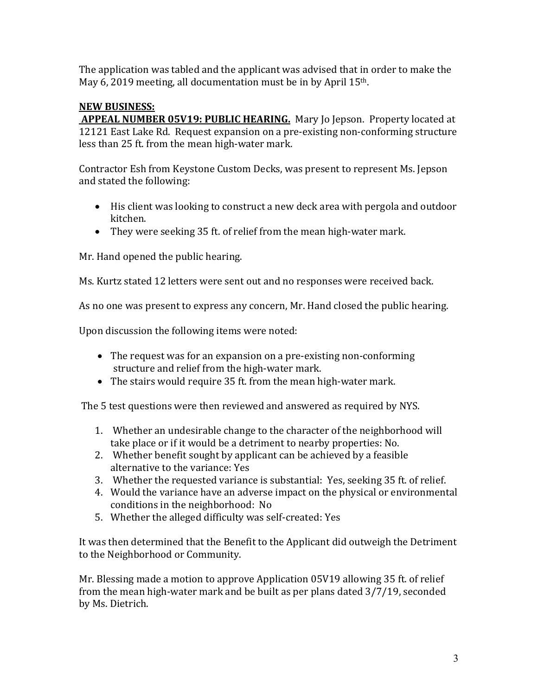The application was tabled and the applicant was advised that in order to make the May 6, 2019 meeting, all documentation must be in by April 15<sup>th</sup>.

# **NEW BUSINESS:**

 **APPEAL NUMBER 05V19: PUBLIC HEARING.** Mary Jo Jepson. Property located at 12121 East Lake Rd. Request expansion on a pre-existing non-conforming structure less than 25 ft. from the mean high-water mark.

Contractor Esh from Keystone Custom Decks, was present to represent Ms. Jepson and stated the following:

- His client was looking to construct a new deck area with pergola and outdoor kitchen.
- They were seeking 35 ft. of relief from the mean high-water mark.

Mr. Hand opened the public hearing.

Ms. Kurtz stated 12 letters were sent out and no responses were received back.

As no one was present to express any concern, Mr. Hand closed the public hearing.

Upon discussion the following items were noted:

- The request was for an expansion on a pre-existing non-conforming structure and relief from the high-water mark.
- The stairs would require 35 ft. from the mean high-water mark.

The 5 test questions were then reviewed and answered as required by NYS.

- 1. Whether an undesirable change to the character of the neighborhood will take place or if it would be a detriment to nearby properties: No.
- 2. Whether benefit sought by applicant can be achieved by a feasible alternative to the variance: Yes
- 3. Whether the requested variance is substantial: Yes, seeking 35 ft. of relief.
- 4. Would the variance have an adverse impact on the physical or environmental conditions in the neighborhood: No
- 5. Whether the alleged difficulty was self-created: Yes

It was then determined that the Benefit to the Applicant did outweigh the Detriment to the Neighborhood or Community.

Mr. Blessing made a motion to approve Application 05V19 allowing 35 ft. of relief from the mean high-water mark and be built as per plans dated 3/7/19, seconded by Ms. Dietrich.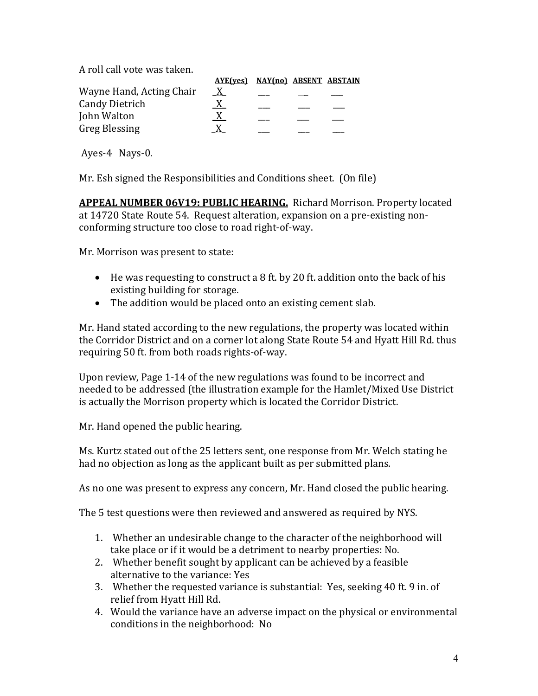A roll call vote was taken.

|                          | AYE(yes) NAY(no) ABSENT ABSTAIN |  |  |
|--------------------------|---------------------------------|--|--|
| Wayne Hand, Acting Chair | X                               |  |  |
| <b>Candy Dietrich</b>    |                                 |  |  |
| John Walton              |                                 |  |  |
| <b>Greg Blessing</b>     |                                 |  |  |

Ayes-4 Nays-0.

Mr. Esh signed the Responsibilities and Conditions sheet. (On file)

**APPEAL NUMBER 06V19: PUBLIC HEARING.** Richard Morrison. Property located at 14720 State Route 54. Request alteration, expansion on a pre-existing nonconforming structure too close to road right-of-way.

Mr. Morrison was present to state:

- He was requesting to construct a 8 ft. by 20 ft. addition onto the back of his existing building for storage.
- The addition would be placed onto an existing cement slab.

Mr. Hand stated according to the new regulations, the property was located within the Corridor District and on a corner lot along State Route 54 and Hyatt Hill Rd. thus requiring 50 ft. from both roads rights-of-way.

Upon review, Page 1-14 of the new regulations was found to be incorrect and needed to be addressed (the illustration example for the Hamlet/Mixed Use District is actually the Morrison property which is located the Corridor District.

Mr. Hand opened the public hearing.

Ms. Kurtz stated out of the 25 letters sent, one response from Mr. Welch stating he had no objection as long as the applicant built as per submitted plans.

As no one was present to express any concern, Mr. Hand closed the public hearing.

The 5 test questions were then reviewed and answered as required by NYS.

- 1. Whether an undesirable change to the character of the neighborhood will take place or if it would be a detriment to nearby properties: No.
- 2. Whether benefit sought by applicant can be achieved by a feasible alternative to the variance: Yes
- 3. Whether the requested variance is substantial: Yes, seeking 40 ft. 9 in. of relief from Hyatt Hill Rd.
- 4. Would the variance have an adverse impact on the physical or environmental conditions in the neighborhood: No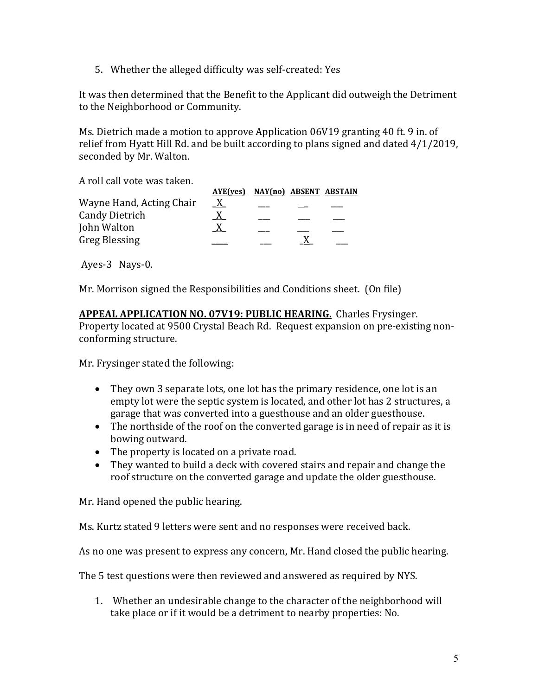5. Whether the alleged difficulty was self-created: Yes

It was then determined that the Benefit to the Applicant did outweigh the Detriment to the Neighborhood or Community.

Ms. Dietrich made a motion to approve Application 06V19 granting 40 ft. 9 in. of relief from Hyatt Hill Rd. and be built according to plans signed and dated 4/1/2019, seconded by Mr. Walton.

A roll call vote was taken.

|                          | AYE(ves) NAY(no) ABSENT ABSTAIN |  |  |
|--------------------------|---------------------------------|--|--|
| Wayne Hand, Acting Chair | $\mathbf{X}$                    |  |  |
| <b>Candy Dietrich</b>    |                                 |  |  |
| John Walton              |                                 |  |  |
| <b>Greg Blessing</b>     |                                 |  |  |

Ayes-3 Nays-0.

Mr. Morrison signed the Responsibilities and Conditions sheet. (On file)

**APPEAL APPLICATION NO. 07V19: PUBLIC HEARING.** Charles Frysinger. Property located at 9500 Crystal Beach Rd. Request expansion on pre-existing nonconforming structure.

Mr. Frysinger stated the following:

- They own 3 separate lots, one lot has the primary residence, one lot is an empty lot were the septic system is located, and other lot has 2 structures, a garage that was converted into a guesthouse and an older guesthouse.
- The northside of the roof on the converted garage is in need of repair as it is bowing outward.
- The property is located on a private road.
- They wanted to build a deck with covered stairs and repair and change the roof structure on the converted garage and update the older guesthouse.

Mr. Hand opened the public hearing.

Ms. Kurtz stated 9 letters were sent and no responses were received back.

As no one was present to express any concern, Mr. Hand closed the public hearing.

The 5 test questions were then reviewed and answered as required by NYS.

1. Whether an undesirable change to the character of the neighborhood will take place or if it would be a detriment to nearby properties: No.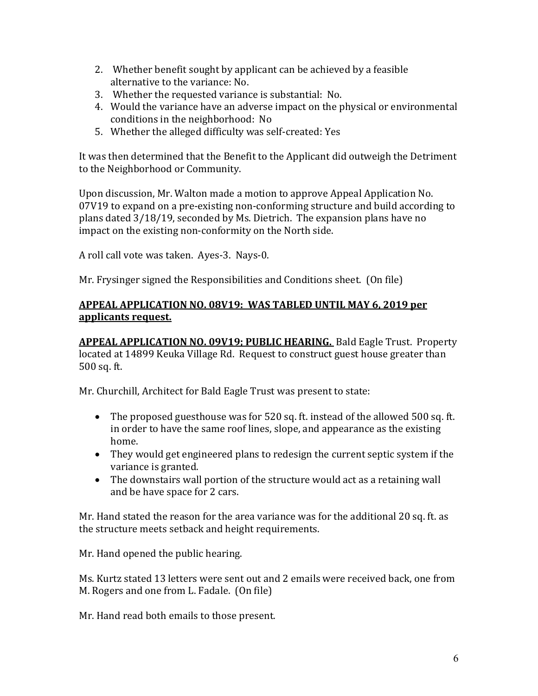- 2. Whether benefit sought by applicant can be achieved by a feasible alternative to the variance: No.
- 3. Whether the requested variance is substantial: No.
- 4. Would the variance have an adverse impact on the physical or environmental conditions in the neighborhood: No
- 5. Whether the alleged difficulty was self-created: Yes

It was then determined that the Benefit to the Applicant did outweigh the Detriment to the Neighborhood or Community.

Upon discussion, Mr. Walton made a motion to approve Appeal Application No. 07V19 to expand on a pre-existing non-conforming structure and build according to plans dated 3/18/19, seconded by Ms. Dietrich. The expansion plans have no impact on the existing non-conformity on the North side.

A roll call vote was taken. Ayes-3. Nays-0.

Mr. Frysinger signed the Responsibilities and Conditions sheet. (On file)

## **APPEAL APPLICATION NO. 08V19: WAS TABLED UNTIL MAY 6, 2019 per applicants request.**

**APPEAL APPLICATION NO. 09V19; PUBLIC HEARING.** Bald Eagle Trust. Property located at 14899 Keuka Village Rd. Request to construct guest house greater than 500 sq. ft.

Mr. Churchill, Architect for Bald Eagle Trust was present to state:

- The proposed guesthouse was for 520 sq. ft. instead of the allowed 500 sq. ft. in order to have the same roof lines, slope, and appearance as the existing home.
- They would get engineered plans to redesign the current septic system if the variance is granted.
- The downstairs wall portion of the structure would act as a retaining wall and be have space for 2 cars.

Mr. Hand stated the reason for the area variance was for the additional 20 sq. ft. as the structure meets setback and height requirements.

Mr. Hand opened the public hearing.

Ms. Kurtz stated 13 letters were sent out and 2 emails were received back, one from M. Rogers and one from L. Fadale. (On file)

Mr. Hand read both emails to those present.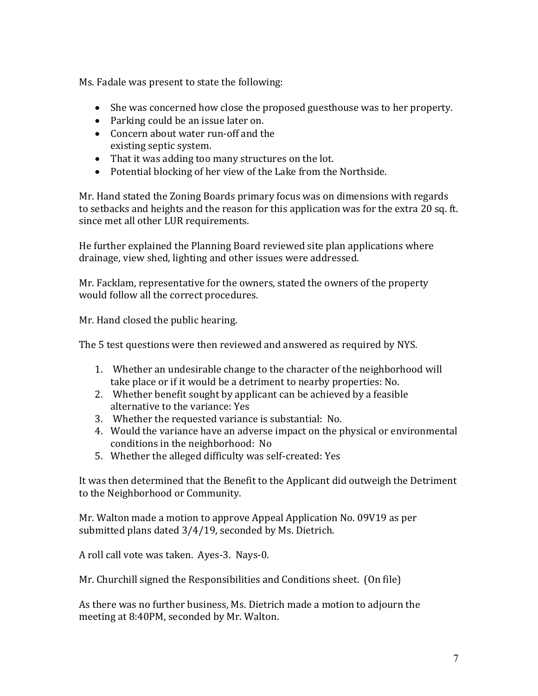Ms. Fadale was present to state the following:

- She was concerned how close the proposed guesthouse was to her property.
- Parking could be an issue later on.
- Concern about water run-off and the existing septic system.
- That it was adding too many structures on the lot.
- Potential blocking of her view of the Lake from the Northside.

Mr. Hand stated the Zoning Boards primary focus was on dimensions with regards to setbacks and heights and the reason for this application was for the extra 20 sq. ft. since met all other LUR requirements.

He further explained the Planning Board reviewed site plan applications where drainage, view shed, lighting and other issues were addressed.

Mr. Facklam, representative for the owners, stated the owners of the property would follow all the correct procedures.

Mr. Hand closed the public hearing.

The 5 test questions were then reviewed and answered as required by NYS.

- 1. Whether an undesirable change to the character of the neighborhood will take place or if it would be a detriment to nearby properties: No.
- 2. Whether benefit sought by applicant can be achieved by a feasible alternative to the variance: Yes
- 3. Whether the requested variance is substantial: No.
- 4. Would the variance have an adverse impact on the physical or environmental conditions in the neighborhood: No
- 5. Whether the alleged difficulty was self-created: Yes

It was then determined that the Benefit to the Applicant did outweigh the Detriment to the Neighborhood or Community.

Mr. Walton made a motion to approve Appeal Application No. 09V19 as per submitted plans dated 3/4/19, seconded by Ms. Dietrich.

A roll call vote was taken. Ayes-3. Nays-0.

Mr. Churchill signed the Responsibilities and Conditions sheet. (On file)

As there was no further business, Ms. Dietrich made a motion to adjourn the meeting at 8:40PM, seconded by Mr. Walton.